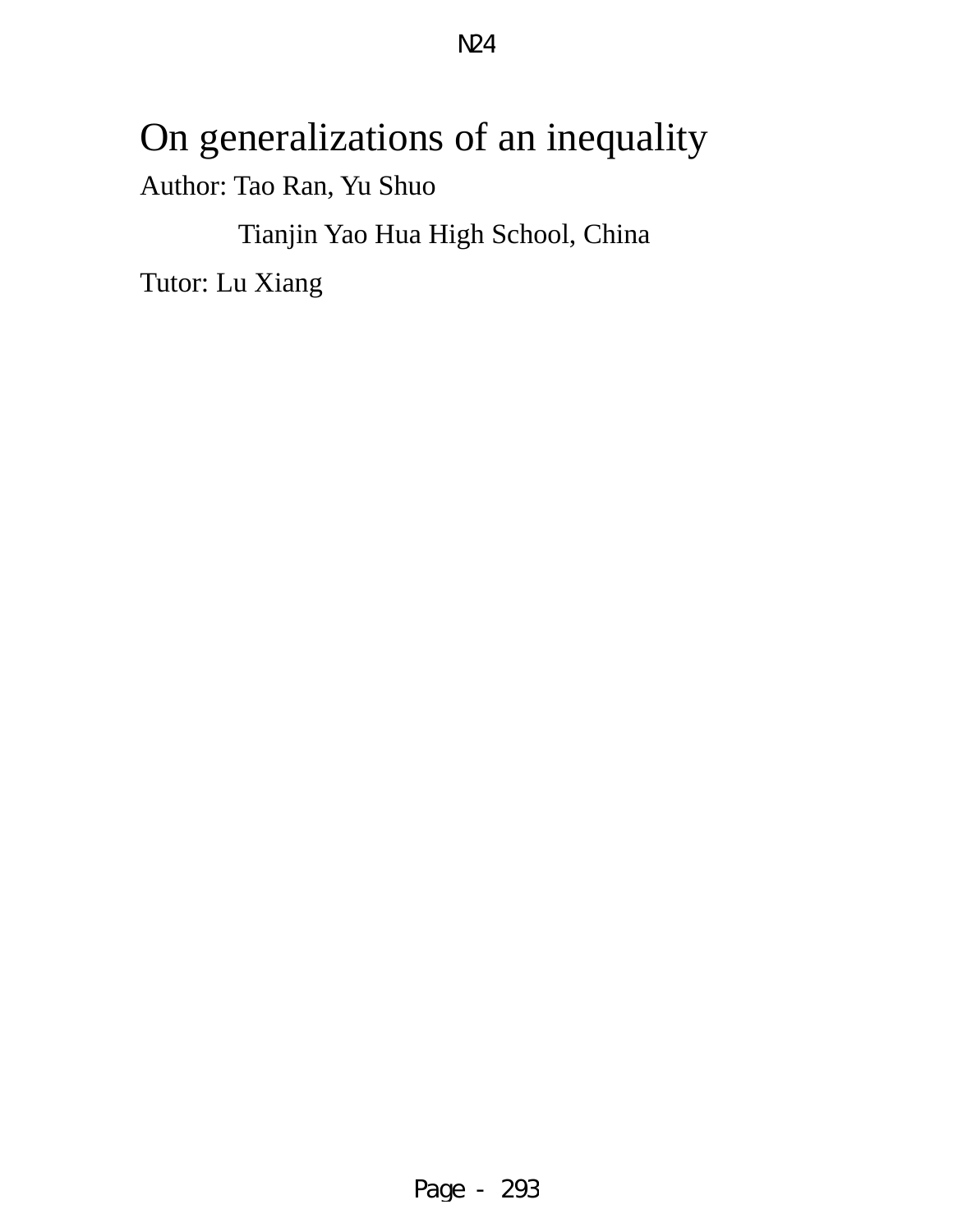# On generalizations of an inequality Author: Tao Ran, Yu Shuo

Tianjin Yao Hua High School, China

Tutor: Lu Xiang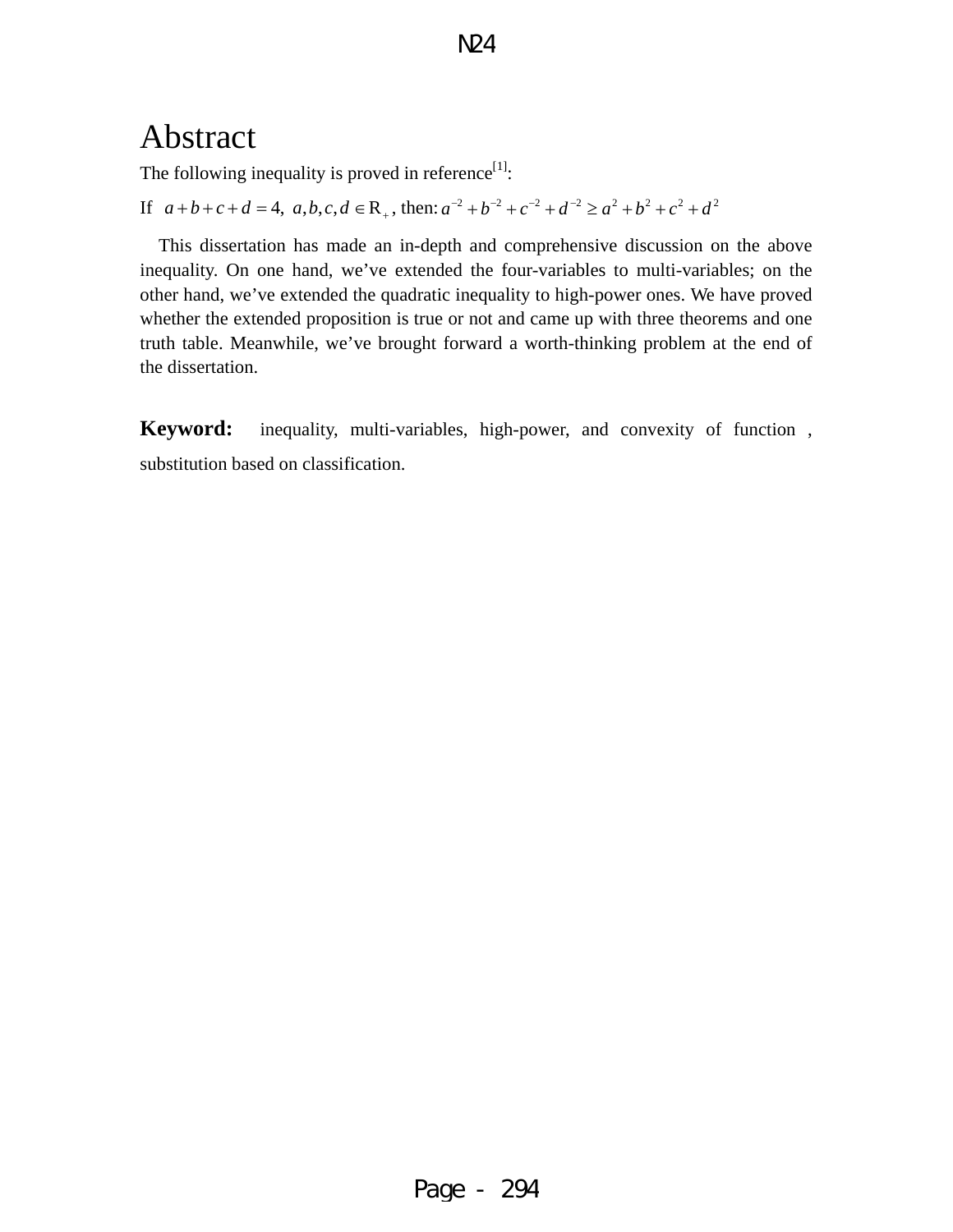## Abstract

The following inequality is proved in reference $[1]$ :

If  $a+b+c+d = 4$ ,  $a,b,c,d \in \mathbb{R}_+$ , then:  $a^{-2} + b^{-2} + c^{-2} + d^{-2} \ge a^2 + b^2 + c^2 + d^2$ 

This dissertation has made an in-depth and comprehensive discussion on the above inequality. On one hand, we've extended the four-variables to multi-variables; on the other hand, we've extended the quadratic inequality to high-power ones. We have proved whether the extended proposition is true or not and came up with three theorems and one truth table. Meanwhile, we've brought forward a worth-thinking problem at the end of the dissertation.

**Keyword:** inequality, multi-variables, high-power, and convexity of function , substitution based on classification.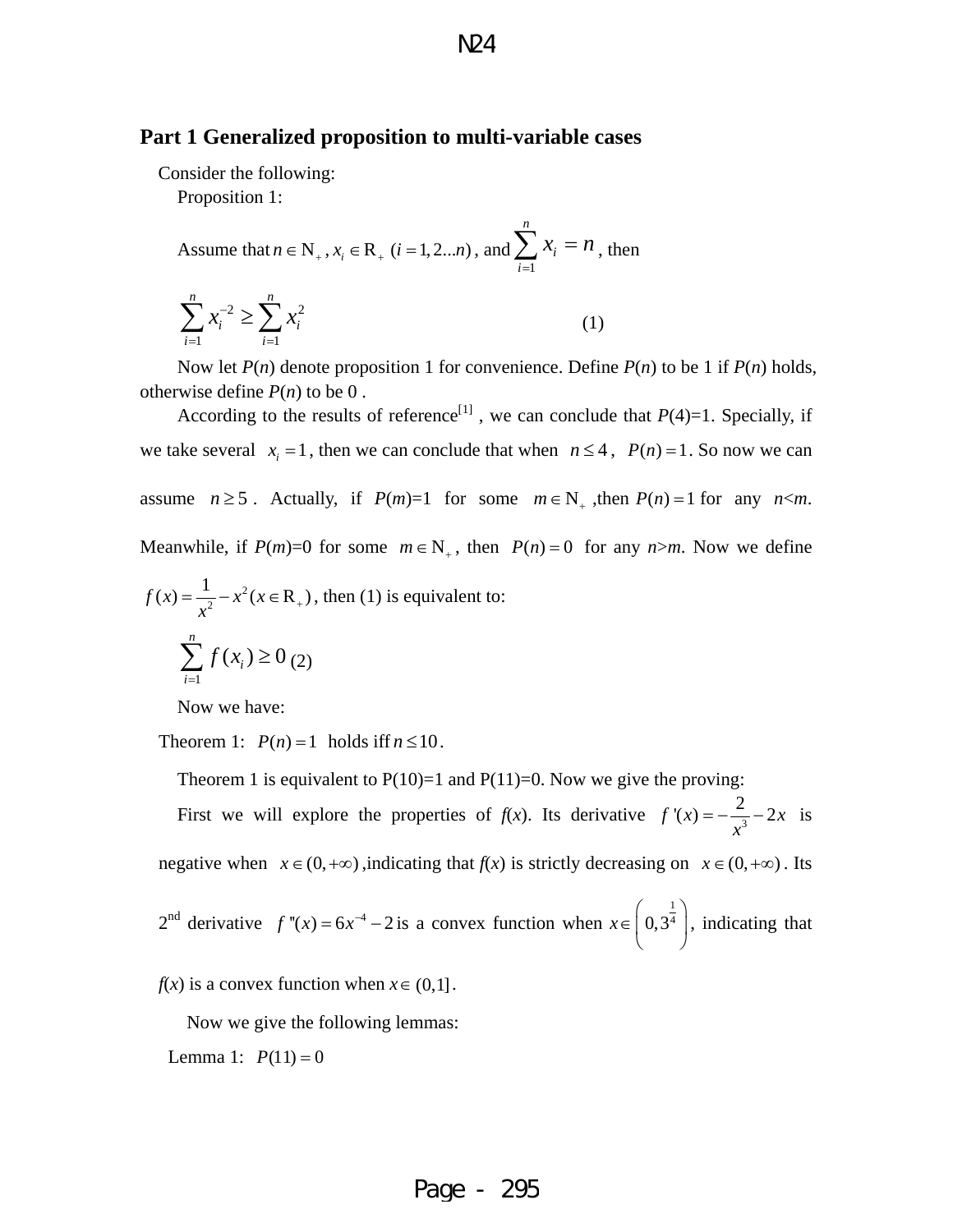#### **Part 1 Generalized proposition to multi-variable cases**

Consider the following:

Proposition 1:

Assume that  $n \in N_+$ ,  $x_i \in R_+$  ( $i = 1, 2...n$ ), and 1 *n i i*  $x_i = n$ =  $\sum x_i = n$ , then  $2\sqrt{2}x^2$  $i=1$ *n n i i i*  $x_i^{-2} \ge \sum x_i^2$  $=1$   $i=$  $\sum x_i^{-2} \ge \sum x_i^2$  (1)

Now let *P*(*n*) denote proposition 1 for convenience. Define *P*(*n*) to be 1 if *P*(*n*) holds, otherwise define  $P(n)$  to be 0.

According to the results of reference<sup>[1]</sup>, we can conclude that  $P(4)=1$ . Specially, if we take several  $x_i = 1$ , then we can conclude that when  $n \le 4$ ,  $P(n) = 1$ . So now we can assume  $n \ge 5$ . Actually, if  $P(m)=1$  for some  $m \in N_+$ , then  $P(n)=1$  for any  $n \le m$ . Meanwhile, if  $P(m)=0$  for some  $m \in N_+$ , then  $P(n)=0$  for any  $n>m$ . Now we define

$$
f(x) = \frac{1}{x^2} - x^2 (x \in \mathbb{R}_+), \text{ then (1) is equivalent to:}
$$
  

$$
\sum_{i=1}^{n} f(x_i) \ge 0 \tag{2}
$$

$$
\sum_{i=1}^J J(\lambda_i) \leq 0
$$

Now we have:

Theorem 1:  $P(n) = 1$  holds if  $n \le 10$ .

Theorem 1 is equivalent to  $P(10)=1$  and  $P(11)=0$ . Now we give the proving:

First we will explore the properties of *f*(*x*). Its derivative  $f'(x) = -\frac{2}{x^3} - 2x$  is

negative when  $x \in (0, +\infty)$ , indicating that  $f(x)$  is strictly decreasing on  $x \in (0, +\infty)$ . Its

 $2^{nd}$  derivative  $f''(x) = 6x^{-4} - 2$  is a convex function when  $x \in \left(0, \frac{1}{2^4}\right)$  $0,3<sup>4</sup>$  $\left( 0, 3^{\frac{1}{4}} \right)$ , indicating that

 $f(x)$  is a convex function when  $x \in (0,1]$ .

Now we give the following lemmas:

Lemma 1:  $P(11) = 0$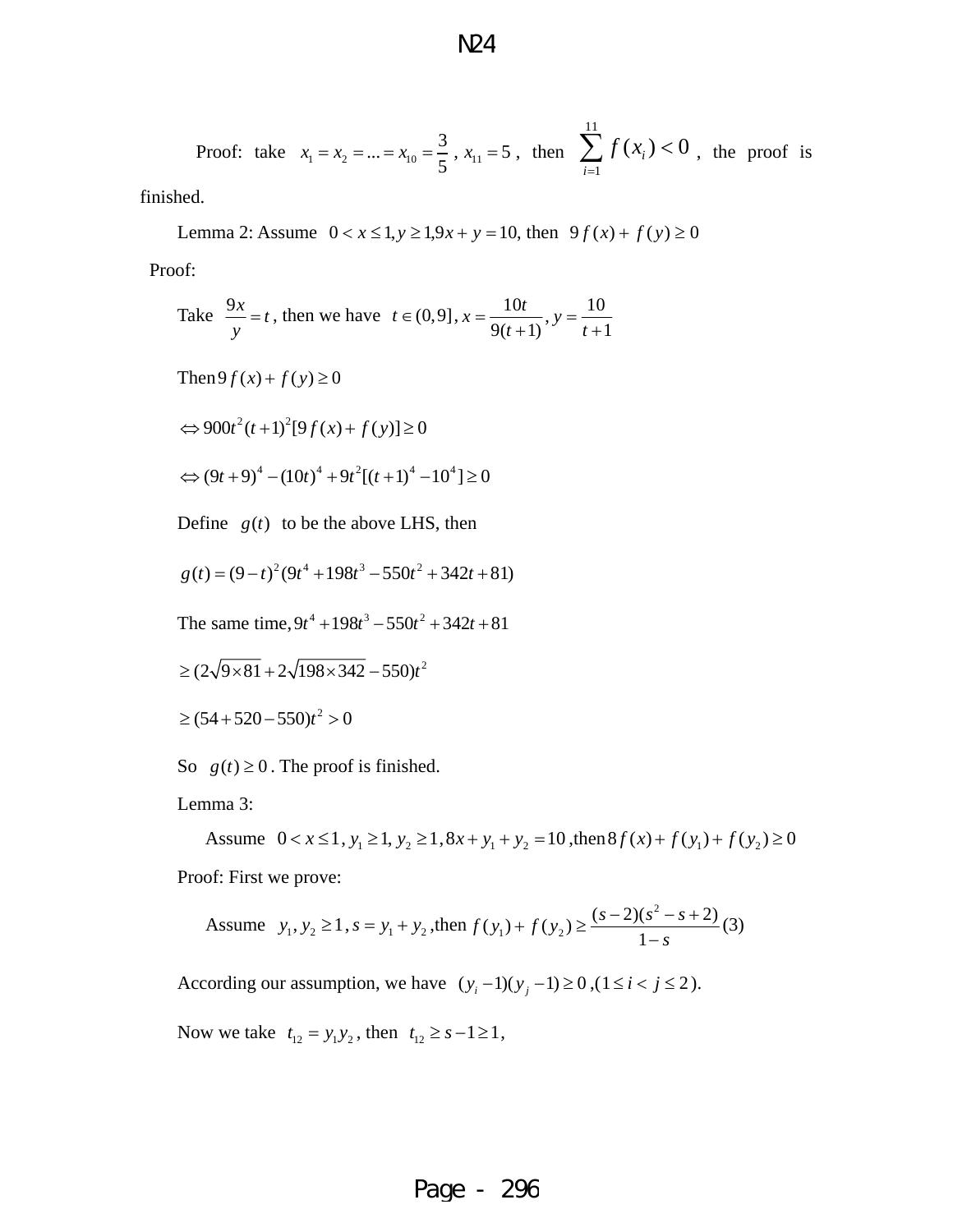#### Proof: take  $x_1 = x_2 = ... = x_{10} = \frac{3}{5}$ ,  $x_{11} = 5$ , then 11 1  $(x_i) < 0$ *i f x*  $\sum_{i=1} f(x_i) < 0$ , the proof is

finished.

Lemma 2: Assume  $0 < x \le 1, y \ge 1, 9x + y = 10$ , then  $9f(x) + f(y) \ge 0$ 

Proof:

Take 
$$
\frac{9x}{y} = t
$$
, then we have  $t \in (0, 9]$ ,  $x = \frac{10t}{9(t+1)}$ ,  $y = \frac{10}{t+1}$ 

Then  $9f(x) + f(y) \ge 0$ 

$$
\Leftrightarrow 900t^2(t+1)^2[9f(x)+f(y)] \ge 0
$$

$$
\Leftrightarrow (9t+9)^4 - (10t)^4 + 9t^2[(t+1)^4 - 10^4] \ge 0
$$

Define  $g(t)$  to be the above LHS, then

$$
g(t) = (9-t)^2(9t^4 + 198t^3 - 550t^2 + 342t + 81)
$$

The same time,  $9t^4 + 198t^3 - 550t^2 + 342t + 81$ 

$$
\geq (2\sqrt{9\times81} + 2\sqrt{198\times342} - 550)t^2
$$

$$
\geq
$$
 (54+520-550) $t^2$  > 0

So  $g(t) \ge 0$ . The proof is finished.

Lemma 3:

Assume  $0 < x \le 1$ ,  $y_1 \ge 1$ ,  $y_2 \ge 1$ ,  $8x + y_1 + y_2 = 10$ , then  $8f(x) + f(y_1) + f(y_2) \ge 0$ Proof: First we prove:

Assume 
$$
y_1, y_2 \ge 1
$$
,  $s = y_1 + y_2$ , then  $f(y_1) + f(y_2) \ge \frac{(s-2)(s^2 - s + 2)}{1 - s}$  (3)

According our assumption, we have  $(y_i - 1)(y_j - 1) \ge 0$ ,  $(1 \le i < j \le 2)$ .

Now we take  $t_{12} = y_1 y_2$ , then  $t_{12} \ge s - 1 \ge 1$ ,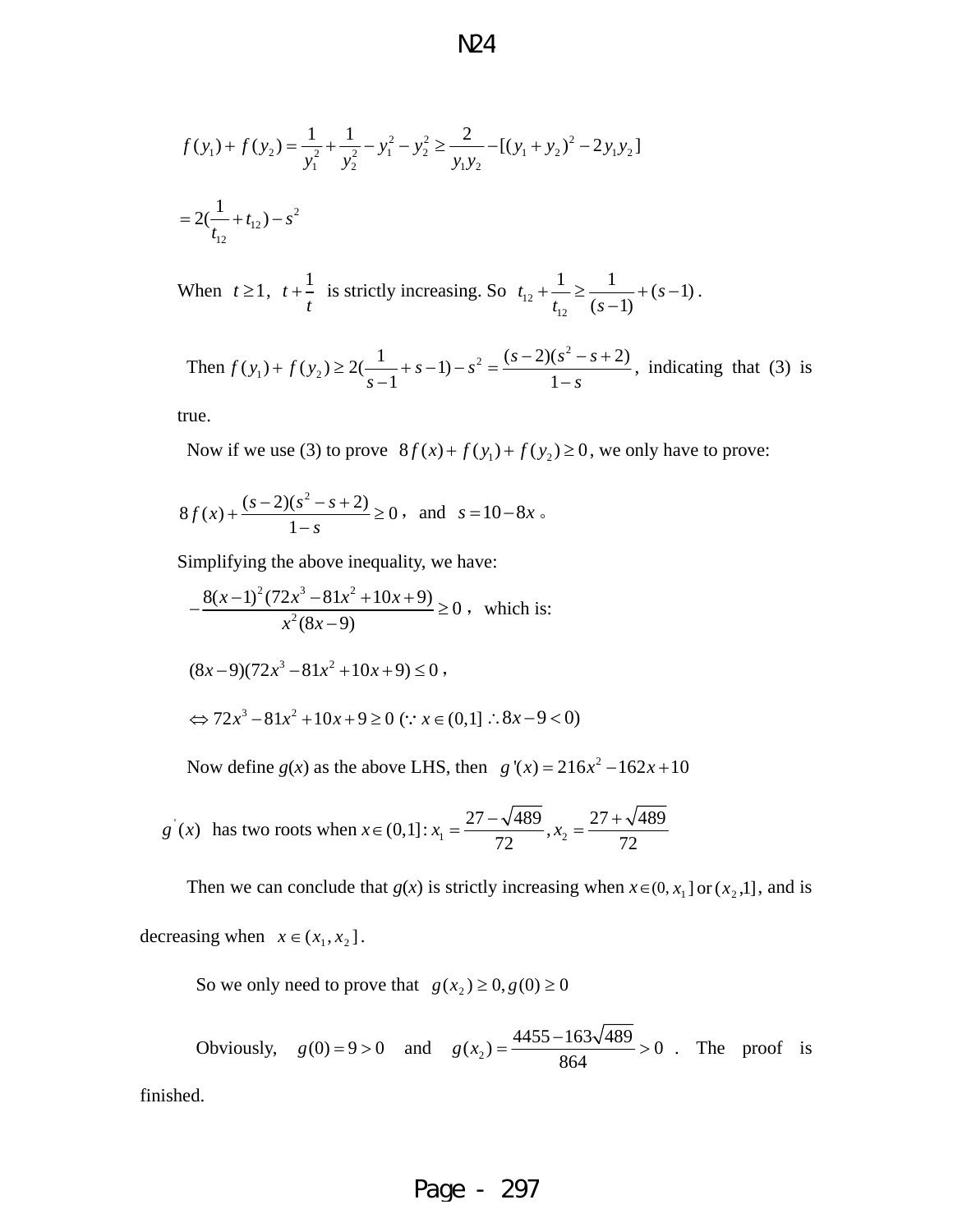$$
f(y_1) + f(y_2) = \frac{1}{y_1^2} + \frac{1}{y_2^2} - y_1^2 - y_2^2 \ge \frac{2}{y_1 y_2} - [(y_1 + y_2)^2 - 2y_1 y_2]
$$
  
=  $2(\frac{1}{t_{12}} + t_{12}) - s^2$ 

When  $t \ge 1$ ,  $t + \frac{1}{t}$  $+\frac{1}{t}$  is strictly increasing. So  $t_{12}$  $t_{12} + \frac{1}{t_{12}} \ge \frac{1}{(s-1)} + (s-1)$  $+\frac{1}{t_{12}} \geq \frac{1}{(s-1)} + (s-1)$ .

Then 
$$
f(y_1) + f(y_2) \ge 2(\frac{1}{s-1} + s - 1) - s^2 = \frac{(s-2)(s^2 - s + 2)}{1 - s}
$$
, indicating that (3) is

true.

Now if we use (3) to prove  $8 f(x) + f(y_1) + f(y_2) \ge 0$ , we only have to prove:

$$
8f(x) + \frac{(s-2)(s^2 - s + 2)}{1 - s} \ge 0
$$
, and  $s = 10 - 8x$ .

Simplifying the above inequality, we have:

$$
-\frac{8(x-1)^2(72x^3-81x^2+10x+9)}{x^2(8x-9)} \ge 0
$$
, which is:  

$$
(8x-9)(72x^3-81x^2+10x+9) \le 0
$$
,  

$$
\Leftrightarrow 72x^3-81x^2+10x+9 \ge 0 \quad (\because x \in (0,1] \therefore 8x-9<0)
$$

Now define  $g(x)$  as the above LHS, then  $g'(x) = 216x^2 - 162x + 10$ 

$$
g'(x)
$$
 has two roots when  $x \in (0,1]$ :  $x_1 = \frac{27 - \sqrt{489}}{72}, x_2 = \frac{27 + \sqrt{489}}{72}$ 

Then we can conclude that *g*(*x*) is strictly increasing when  $x \in (0, x_1]$  or  $(x_2, 1]$ , and is decreasing when  $x \in (x_1, x_2]$ .

So we only need to prove that  $g(x_2) \ge 0, g(0) \ge 0$ 

Obviously,  $g(0) = 9 > 0$  and  $g(x_2) = \frac{4455 - 163\sqrt{489}}{864} > 0$ . The proof is

finished.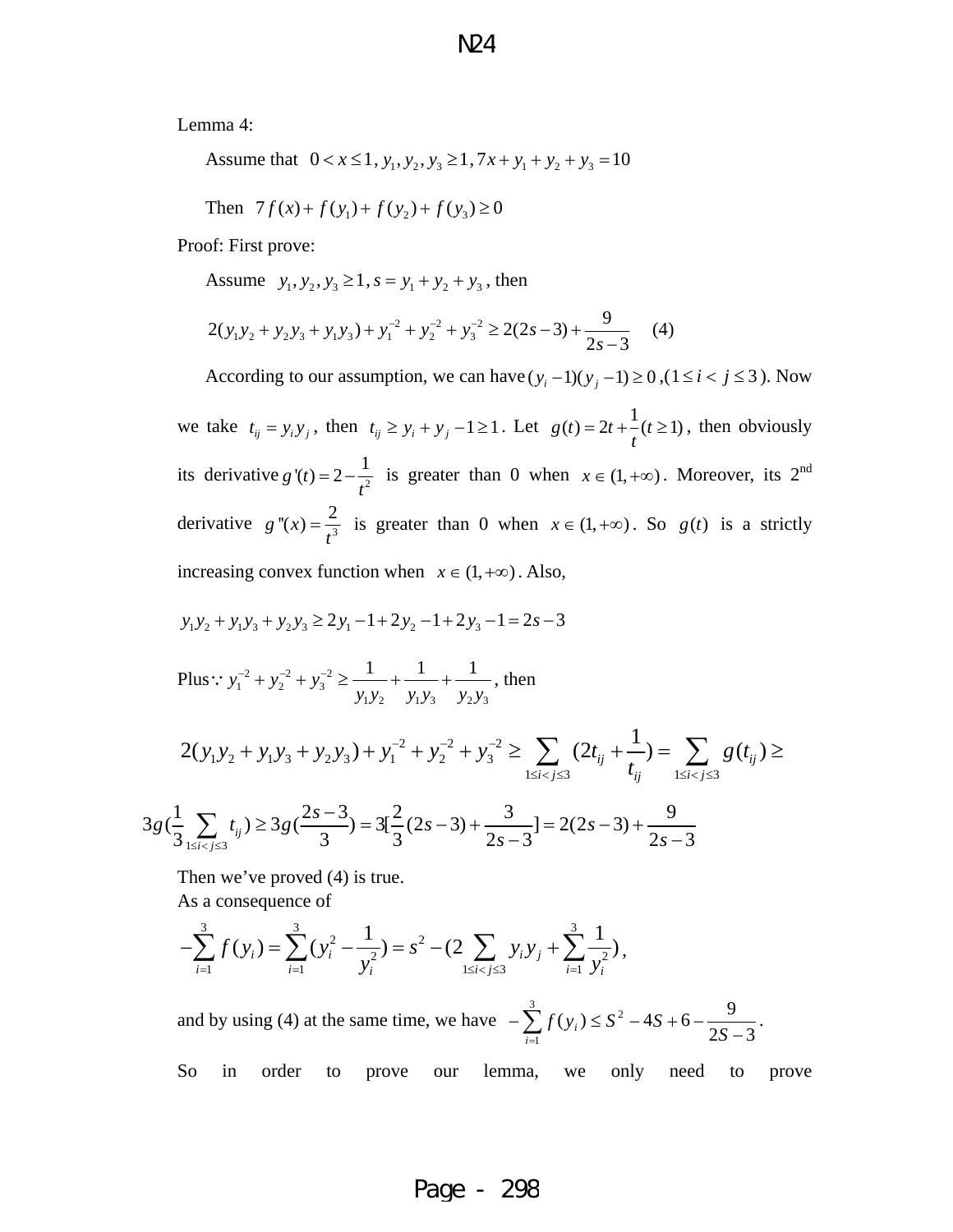Lemma 4:

Assume that  $0 < x \le 1$ ,  $y_1, y_2, y_3 \ge 1$ ,  $7x + y_1 + y_2 + y_3 = 10$ 

Then 
$$
7f(x)+f(y_1)+f(y_2)+f(y_3) \ge 0
$$

Proof: First prove:

Assume  $y_1, y_2, y_3 \ge 1$ ,  $s = y_1 + y_2 + y_3$ , then

$$
2(y_1y_2 + y_2y_3 + y_1y_3) + y_1^{2} + y_2^{2} + y_3^{2} \ge 2(2s - 3) + \frac{9}{2s - 3}
$$
 (4)

According to our assumption, we can have  $(y_i - 1)(y_j - 1) \ge 0$ ,  $(1 \le i < j \le 3)$ . Now

we take  $t_{ij} = y_i y_j$ , then  $t_{ij} \ge y_i + y_j - 1 \ge 1$ . Let  $g(t) = 2t + \frac{1}{t}(t \ge 1)$ , then obviously its derivative  $g'(t) = 2 - \frac{1}{t^2}$  is greater than 0 when  $x \in (1, +\infty)$ . Moreover, its 2<sup>nd</sup> derivative  $g''(x) = \frac{2}{t^3}$  is greater than 0 when  $x \in (1, +\infty)$ . So  $g(t)$  is a strictly increasing convex function when  $x \in (1, +\infty)$ . Also,

$$
y_1 y_2 + y_1 y_3 + y_2 y_3 \ge 2y_1 - 1 + 2y_2 - 1 + 2y_3 - 1 = 2s - 3
$$

Plus: 
$$
y_1^{-2} + y_2^{-2} + y_3^{-2} \ge \frac{1}{y_1 y_2} + \frac{1}{y_1 y_3} + \frac{1}{y_2 y_3}
$$
, then

$$
2(y_1y_2 + y_1y_3 + y_2y_3) + y_1^{-2} + y_2^{-2} + y_3^{-2} \ge \sum_{1 \le i < j \le 3} (2t_{ij} + \frac{1}{t_{ij}}) = \sum_{1 \le i < j \le 3} g(t_{ij}) \ge
$$

$$
3g\left(\frac{1}{3}\sum_{1\leq i
$$

Then we've proved  $(4)$  is true.

As a consequence of

$$
-\sum_{i=1}^{3} f(y_i) = \sum_{i=1}^{3} (y_i^2 - \frac{1}{y_i^2}) = s^2 - (2 \sum_{1 \le i < j \le 3} y_i y_j + \sum_{i=1}^{3} \frac{1}{y_i^2}),
$$

and by using (4) at the same time, we have  $-\sum_{i=1}^{3} f(y_i) \le S^2 - 4S + 6 - \frac{9}{2S-1}$ 1 2  $2S - 3$  $(y_i) \leq S^2 - 4S + 6 - \frac{9}{25}$  $\sum_{i=1} f(y_i) \leq S^2 - 4S + 6 - \frac{3}{2S - 3}$ .

So in order to prove our lemma, we only need to prove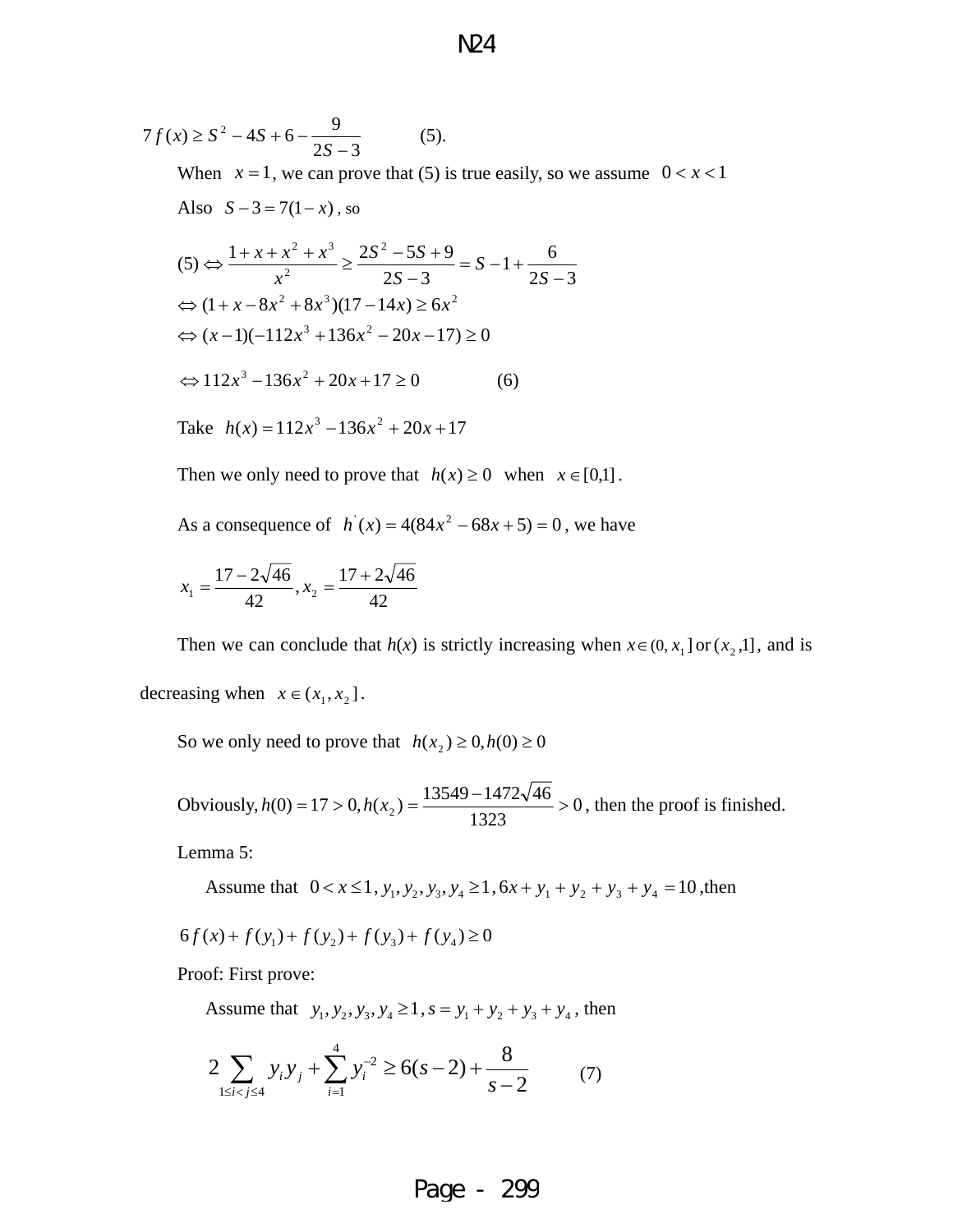$$
7f(x) \ge S^2 - 4S + 6 - \frac{9}{2S - 3}
$$
 (5).  
When  $x = 1$ , we can prove that (5) is true easily, so we assume  $0 < x < 1$   
Also  $S - 3 = 7(1 - x)$ , so  

$$
(5) \Leftrightarrow \frac{1 + x + x^2 + x^3}{x^2} \ge \frac{2S^2 - 5S + 9}{2S - 3} = S - 1 + \frac{6}{2S - 3}
$$

$$
\Leftrightarrow (1 + x - 8x^2 + 8x^3)(17 - 14x) \ge 6x^2
$$

$$
\Leftrightarrow 112x^3 - 136x^2 + 20x + 17 \ge 0 \tag{6}
$$

 $\Leftrightarrow$   $(x-1)(-112x^3 + 136x^2 - 20x - 17) \ge 0$ 

Take 
$$
h(x) = 112x^3 - 136x^2 + 20x + 17
$$

Then we only need to prove that  $h(x) \ge 0$  when  $x \in [0,1]$ .

As a consequence of  $h'(x) = 4(84x^2 - 68x + 5) = 0$ , we have

$$
x_1 = \frac{17 - 2\sqrt{46}}{42}, x_2 = \frac{17 + 2\sqrt{46}}{42}
$$

Then we can conclude that  $h(x)$  is strictly increasing when  $x \in (0, x_1]$  or  $(x_2, 1]$ , and is decreasing when  $x \in (x_1, x_2]$ .

So we only need to prove that  $h(x_2) \ge 0, h(0) \ge 0$ 

Obviously,  $h(0) = 17 > 0$ ,  $h(x_2) = \frac{13349}{14280} > 0$  $h(0) = 17 > 0, h(x_2) = \frac{13549 - 1472\sqrt{46}}{1323} > 0$ , then the proof is finished.

Lemma 5:

Assume that  $0 < x \le 1$ ,  $y_1, y_2, y_3, y_4 \ge 1$ ,  $6x + y_1 + y_2 + y_3 + y_4 = 10$ , then

$$
6f(x) + f(y_1) + f(y_2) + f(y_3) + f(y_4) \ge 0
$$

Proof: First prove:

Assume that  $y_1, y_2, y_3, y_4 \ge 1$ ,  $s = y_1 + y_2 + y_3 + y_4$ , then

$$
2\sum_{1 \le i < j \le 4} y_i y_j + \sum_{i=1}^4 y_i^{-2} \ge 6(s-2) + \frac{8}{s-2} \tag{7}
$$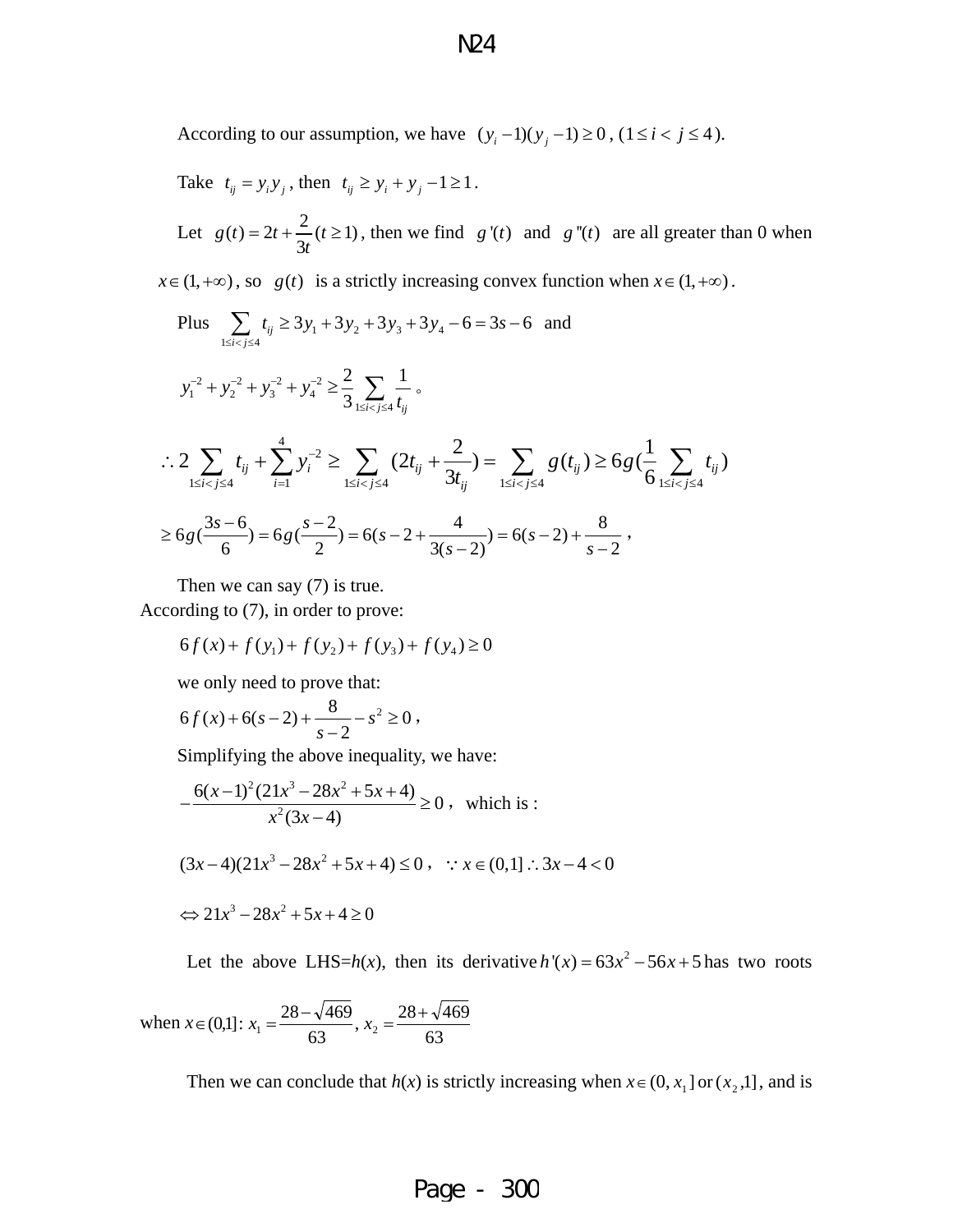According to our assumption, we have  $(y_i - 1)(y_j - 1) \ge 0$ ,  $(1 \le i < j \le 4)$ .

Take 
$$
t_{ij} = y_i y_j
$$
, then  $t_{ij} \ge y_i + y_j - 1 \ge 1$ .

Let  $g(t) = 2t + \frac{2}{3t} (t \ge 1)$  $=2t + \frac{2}{\epsilon}(t \ge 1)$ , then we find *g'(t)* and *g''(t)* are all greater than 0 when

 $x \in (1, +\infty)$ , so *g*(*t*) is a strictly increasing convex function when  $x \in (1, +\infty)$ .

Plus 
$$
\sum_{1 \le i < j \le 4} t_{ij} \ge 3y_1 + 3y_2 + 3y_3 + 3y_4 - 6 = 3s - 6
$$
 and  
 $y_1^{-2} + y_2^{-2} + y_3^{-2} + y_4^{-2} \ge \frac{2}{3} \sum_{1 \le i < j \le 4} \frac{1}{t_{ij}}$ 

$$
\therefore 2\sum_{1 \le i < j \le 4} t_{ij} + \sum_{i=1}^{4} y_i^{-2} \ge \sum_{1 \le i < j \le 4} (2t_{ij} + \frac{2}{3t_{ij}}) = \sum_{1 \le i < j \le 4} g(t_{ij}) \ge 6g\left(\frac{1}{6} \sum_{1 \le i < j \le 4} t_{ij}\right)
$$

$$
\geq 6g\left(\frac{3s-6}{6}\right) = 6g\left(\frac{s-2}{2}\right) = 6(s-2+\frac{4}{3(s-2)}) = 6(s-2)+\frac{8}{s-2},
$$

Then we can say (7) is true. According to (7), in order to prove:

$$
6f(x) + f(y_1) + f(y_2) + f(y_3) + f(y_4) \ge 0
$$

we only need to prove that:

$$
6f(x) + 6(s-2) + \frac{8}{s-2} - s^2 \ge 0,
$$

Simplifying the above inequality, we have:

$$
-\frac{6(x-1)^2(21x^3 - 28x^2 + 5x + 4)}{x^2(3x-4)} \ge 0
$$
, which is:  

$$
(3x-4)(21x^3 - 28x^2 + 5x + 4) \le 0
$$
,  $\because x \in (0,1] \therefore 3x - 4 < 0$ 

$$
\Leftrightarrow 21x^3 - 28x^2 + 5x + 4 \ge 0
$$

Let the above LHS= $h(x)$ , then its derivative  $h'(x) = 63x^2 - 56x + 5$  has two roots

when 
$$
x \in (0,1]
$$
:  $x_1 = \frac{28 - \sqrt{469}}{63}$ ,  $x_2 = \frac{28 + \sqrt{469}}{63}$ 

Then we can conclude that *h*(*x*) is strictly increasing when  $x \in (0, x_1]$  or  $(x_2, 1]$ , and is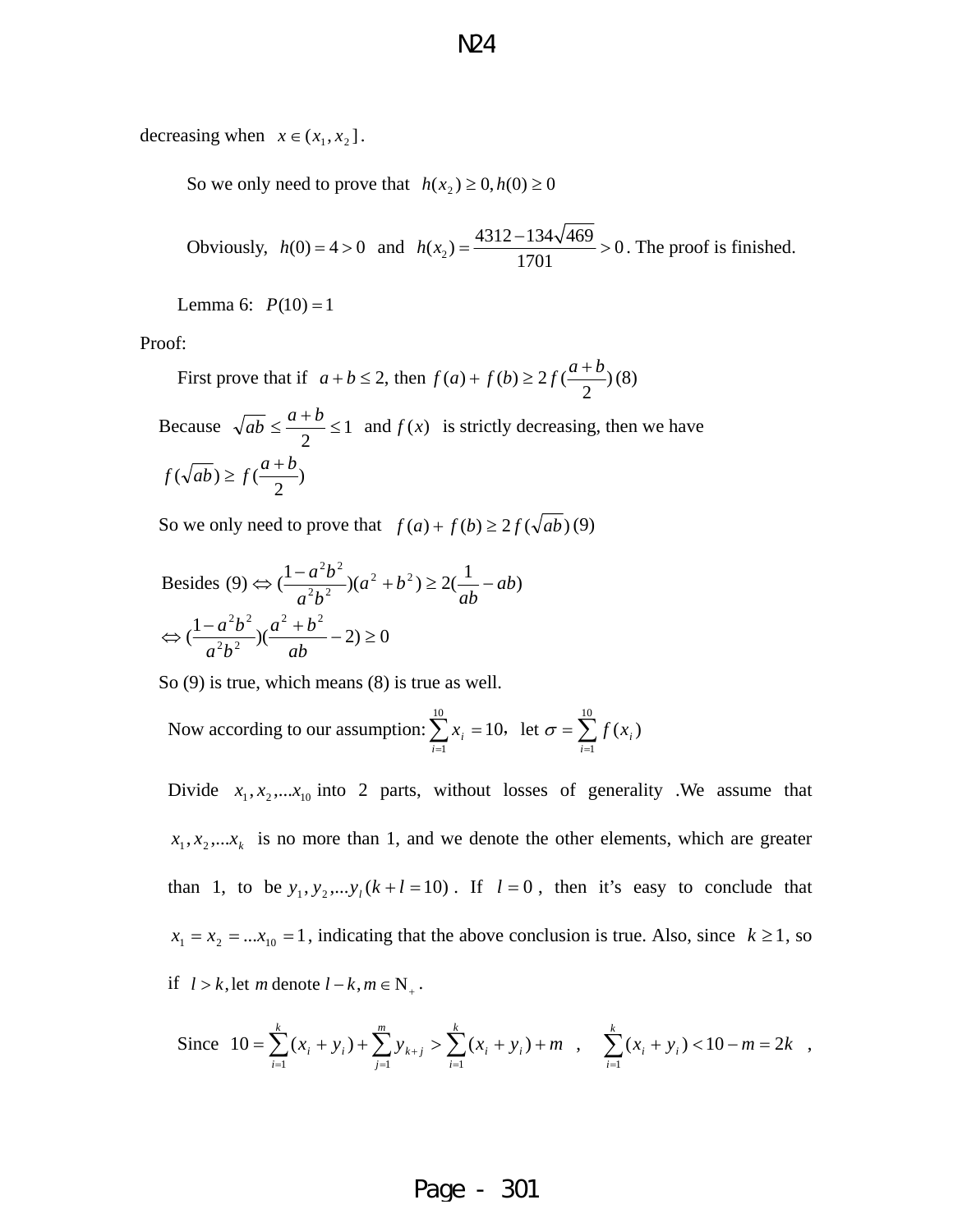decreasing when  $x \in (x_1, x_2]$ .

So we only need to prove that  $h(x_2) \geq 0, h(0) \geq 0$ 

Obviously,  $h(0) = 4 > 0$  and  $h(x_2) = \frac{4312 - 134\sqrt{469}}{1701} > 0$ 1701  $h(x_2) = \frac{4312 - 134\sqrt{469}}{1284} > 0$ . The proof is finished.

Lemma 6:  $P(10) = 1$ 

Proof:

First prove that if  $a + b \le 2$ , then  $f(a) + f(b) \ge 2f(\frac{a+b}{2})(8)$ 

1 2 Because  $\sqrt{ab} \le \frac{a+b}{a} \le 1$  and  $f(x)$  is strictly decreasing, then we have  $f(\sqrt{ab}) \ge f(\frac{a+b}{2})$ 

So we only need to prove that  $f(a) + f(b) \ge 2f(\sqrt{ab})$  (9)

Besides (9) 
$$
\Leftrightarrow \left(\frac{1-a^2b^2}{a^2b^2}\right)(a^2+b^2) \ge 2\left(\frac{1}{ab}-ab\right)
$$
  
\n $\Leftrightarrow \left(\frac{1-a^2b^2}{a^2b^2}\right)(\frac{a^2+b^2}{ab}-2) \ge 0$ 

So (9) is true, which means (8) is true as well.

Now according to our assumption: 
$$
\sum_{i=1}^{10} x_i = 10
$$
, let  $\sigma = \sum_{i=1}^{10} f(x_i)$ 

Divide  $x_1, x_2, \ldots, x_{10}$  into 2 parts, without losses of generality .We assume that  $x_1, x_2, \ldots, x_k$  is no more than 1, and we denote the other elements, which are greater than 1, to be  $y_1, y_2, \ldots, y_l (k+l=10)$ . If  $l=0$ , then it's easy to conclude that  $x_1 = x_2 = ... x_{10} = 1$ , indicating that the above conclusion is true. Also, since  $k \ge 1$ , so if  $l > k$ , let m denote  $l - k$ ,  $m \in N_+$ .

Since 
$$
10 = \sum_{i=1}^{k} (x_i + y_i) + \sum_{j=1}^{m} y_{k+j} > \sum_{i=1}^{k} (x_i + y_i) + m
$$
,  $\sum_{i=1}^{k} (x_i + y_i) < 10 - m = 2k$ ,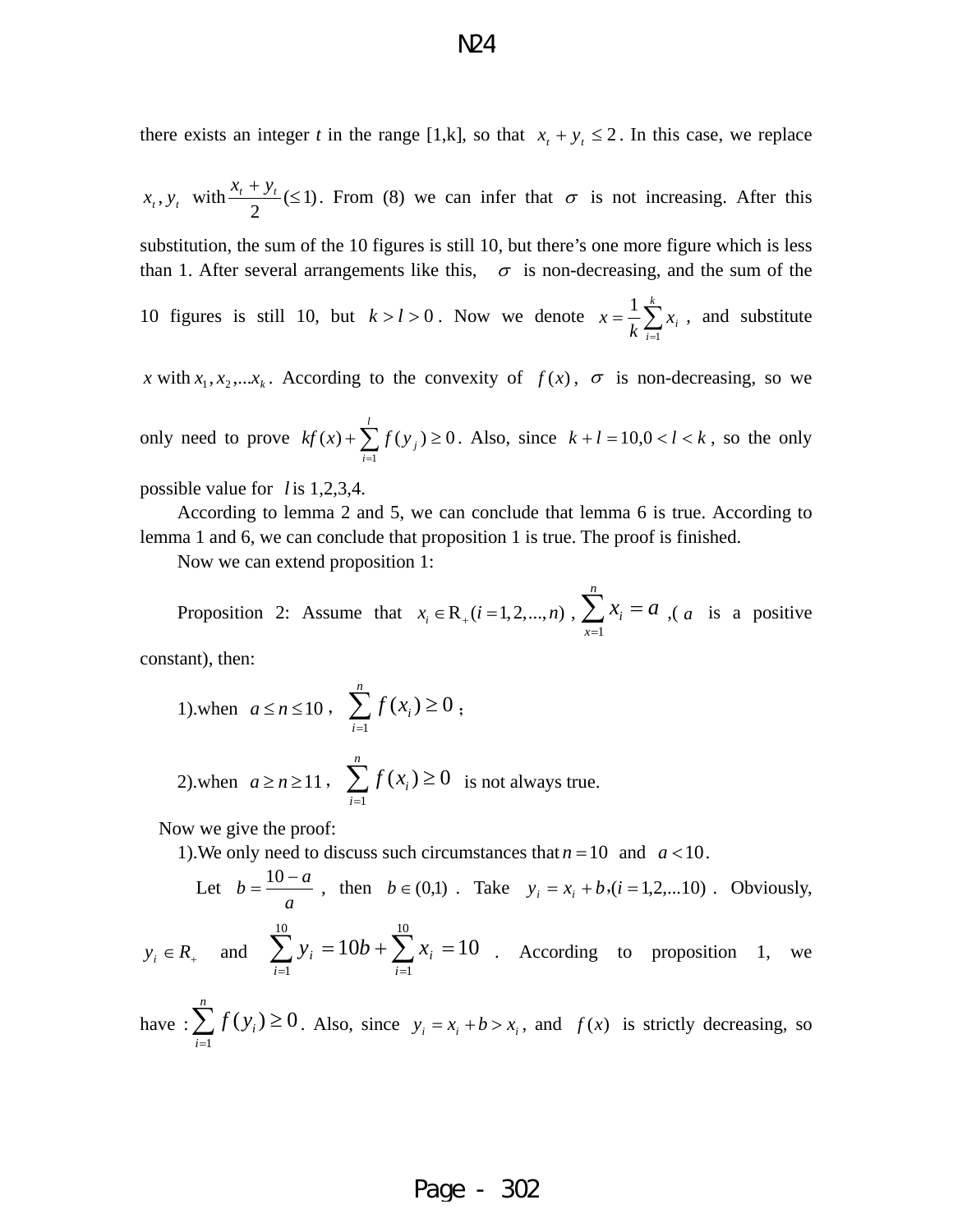there exists an integer *t* in the range [1,k], so that  $x_t + y_t \le 2$ . In this case, we replace

$$
x_t
$$
,  $y_t$  with  $\frac{x_t + y_t}{2} \le 1$ ). From (8) we can infer that  $\sigma$  is not increasing. After this

substitution, the sum of the 10 figures is still 10, but there's one more figure which is less than 1. After several arrangements like this,  $\sigma$  is non-decreasing, and the sum of the

10 figures is still 10, but  $k > l > 0$ . Now we denote  $x = \frac{1}{k} \sum_{i=1}^{k}$ *i*  $x_i$  $k \sum_{i=1}$  $\frac{1}{\tau} \sum_{i=1}^{k} x_i$ , and substitute

*x* with  $x_1, x_2, \ldots, x_k$ . According to the convexity of  $f(x)$ ,  $\sigma$  is non-decreasing, so we

only need to prove  $kf(x) + \sum f(y_i) \ge 0$ . Also, since  $\sum_{i=1}^{l} f(y_i) \geq$ *i*  $f(y_j) \ge 0$ . Also, since  $k+l = 10, 0 < l < k$ , so the only

possible value for *l* is 1,2,3,4.

According to lemma 2 and 5, we can conclude that lemma 6 is true. According to lemma 1 and 6, we can conclude that proposition 1 is true. The proof is finished.

Now we can extend proposition 1:

Proposition 2: Assume that  $x_i \in R_+(i = 1, 2, ..., n)$ ,  $\sum_{x=1}^{\infty}$ *n i x*  $x_i = a$  $\in R_+(i=1,2,...,n)$ ,  $\sum_{x=1}^{\infty} x_i = a$ ,  $(a$  is a positive

constant), then:

1).when 
$$
a \le n \le 10
$$
,  $\sum_{i=1}^{n} f(x_i) \ge 0$ ;

11,  $\sum f(x_i) \ge 0$ *n*  $a \geq n \geq 11$ ,  $\sum_{i=1}$ 1 2).when  $a \ge n \ge 11$ ,  $\sum f(x_i) \ge 0$  is not always true.

Now we give the proof:

1). We only need to discuss such circumstances that  $n = 10$  and  $a < 10$ .

Let 
$$
b = \frac{10 - a}{a}
$$
, then  $b \in (0,1)$ . Take  $y_i = x_i + b$ ,  $(i = 1,2,...10)$ . Obviously,

 $y_i \in R_+$  and  $\sum y_i = 10b + \sum x_i = 10$  . According to proposition 1, we *i*  $y_i = 10b + \sum x_i =$ 10  $+ \sum_{i=1}$  $b + \sum x_i$ 10  $\sum_{i=1}$ 

have :  $\sum f(y_i) \ge 0$ . Also, since 1  $(y_i)$ *n i i f y*  $\sum_{i=1} f(y_i) \ge 0$ . Also, since  $y_i = x_i + b > x_i$ , and  $f(x)$  is strictly decreasing, so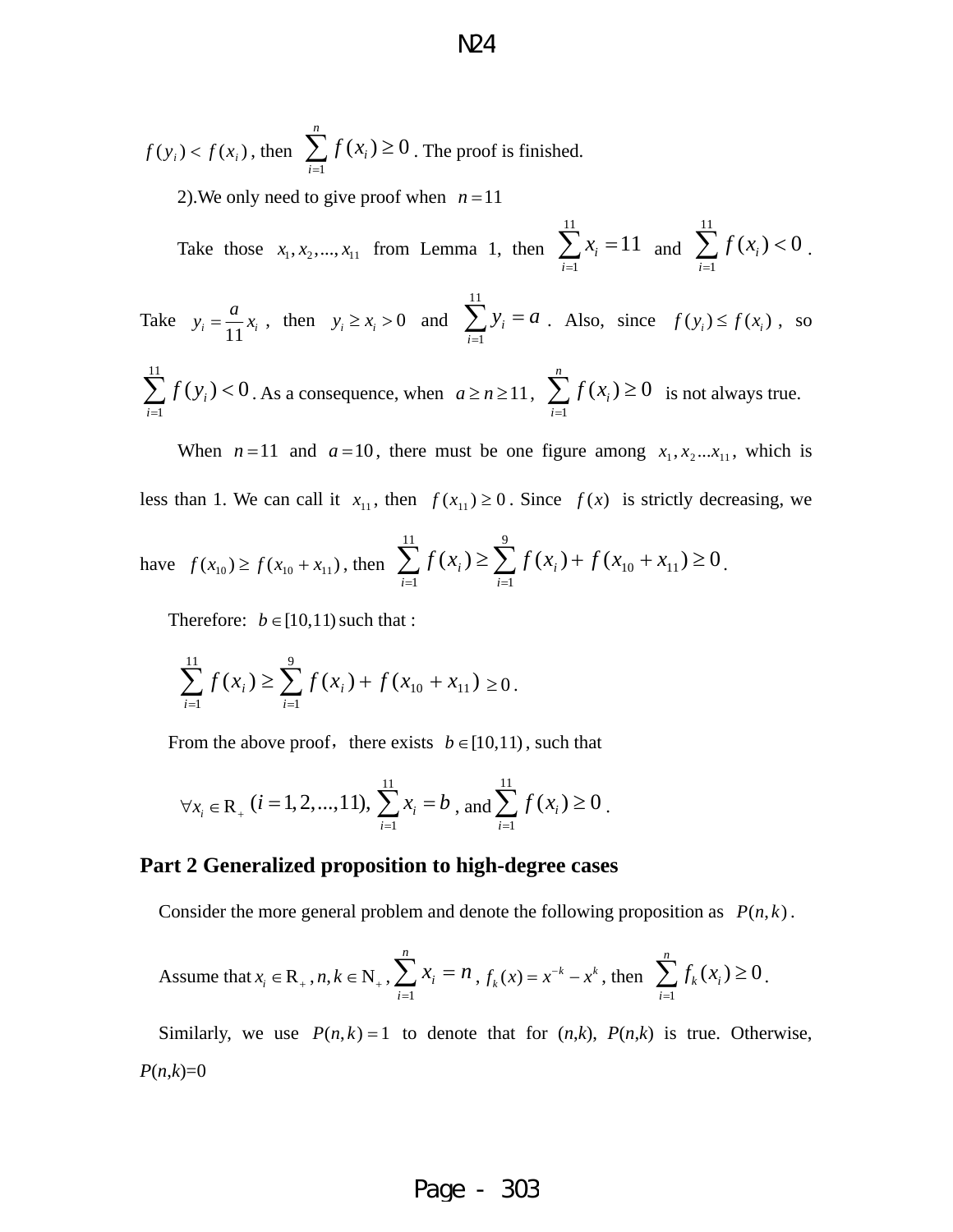$f(y_i) < f(x_i)$ , then  $\sum f(x_i) \ge 0$ . The proof is finished. 1  $(x_i) \ge 0$ *n i i f x*  $\sum_{i=1} f(x_i) \geq$ 

2). We only need to give proof when  $n = 11$ 

Take those  $x_1, x_2, ..., x_{11}$  from Lemma 1, then 11 1  $i_{i} = 11$ *i x*  $\sum_{i=1}^{11} x_i = 11$  and  $\sum_{i=1}^{11} x_i = 11$ 1  $(x_i) < 0$ *i f x*  $\sum_{i=1} f(x_i) < 0$ .

Take 11 1 *i i*  $y_i = \frac{a}{11}x_i$ , then  $y_i \ge x_i > 0$  and  $\sum_{i=1}^{1} y_i = a$ . Also, since  $f(y_i) \le f(x_i)$ , so

$$
\sum_{i=1}^{11} f(y_i) < 0
$$
. As a consequence, when  $a \ge n \ge 11$ ,  $\sum_{i=1}^{n} f(x_i) \ge 0$  is not always true.

When  $n = 11$  and  $a = 10$ , there must be one figure among  $x_1, x_2...x_{11}$ , which is less than 1. We can call it  $x_{11}$ , then  $f(x_{11}) \ge 0$ . Since  $f(x)$  is strictly decreasing, we

have 
$$
f(x_{10}) \ge f(x_{10} + x_{11})
$$
, then 
$$
\sum_{i=1}^{11} f(x_i) \ge \sum_{i=1}^{9} f(x_i) + f(x_{10} + x_{11}) \ge 0.
$$

Therefore:  $b \in [10,11)$  such that :

$$
\sum_{i=1}^{11} f(x_i) \ge \sum_{i=1}^{9} f(x_i) + f(x_{10} + x_{11}) \ge 0.
$$

From the above proof, there exists  $b \in [10,11)$ , such that

$$
\forall x_i \in \mathbb{R}_+ \ (i = 1, 2, ..., 11), \ \sum_{i=1}^{11} x_i = b
$$
, and  $\sum_{i=1}^{11} f(x_i) \ge 0$ .

#### **Part 2 Generalized proposition to high-degree cases**

Consider the more general problem and denote the following proposition as  $P(n, k)$ .

Assume that 
$$
x_i \in \mathbb{R}_+
$$
,  $n, k \in \mathbb{N}_+$ ,  $\sum_{i=1}^n x_i = n$ ,  $f_k(x) = x^{-k} - x^k$ , then  $\sum_{i=1}^n f_k(x_i) \ge 0$ .

Similarly, we use  $P(n, k) = 1$  to denote that for  $(n, k)$ ,  $P(n, k)$  is true. Otherwise,  $P(n,k)=0$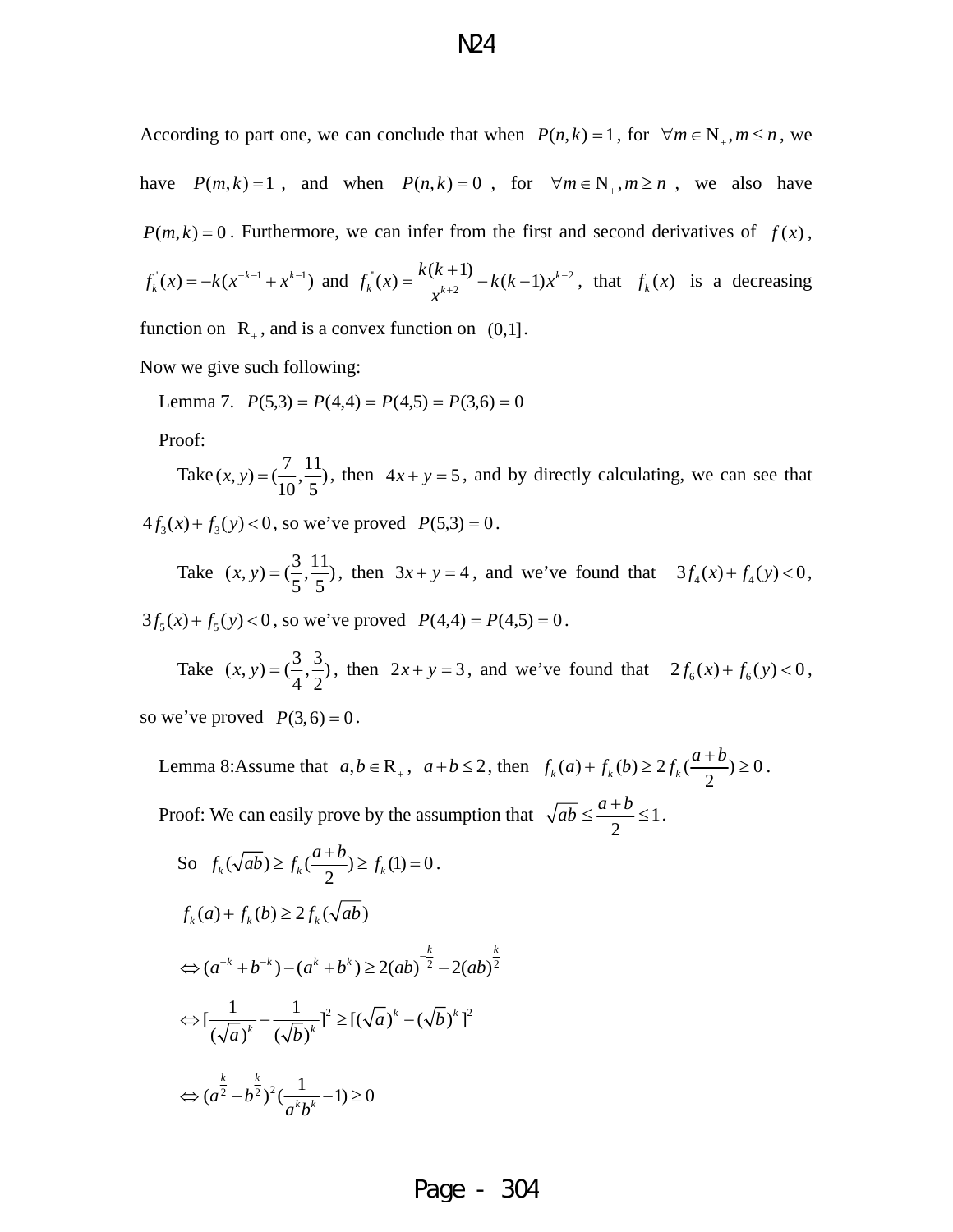According to part one, we can conclude that when  $P(n, k) = 1$ , for  $\forall m \in N_+, m \le n$ , we have  $P(m, k) = 1$ , and when  $P(n, k) = 0$ , for  $\forall m \in N_+, m \ge n$ , we also have  $P(m, k) = 0$ . Furthermore, we can infer from the first and second derivatives of  $f(x)$ ,

$$
f_k(x) = -k(x^{-k-1} + x^{k-1})
$$
 and  $f_k(x) = \frac{k(k+1)}{x^{k+2}} - k(k-1)x^{k-2}$ , that  $f_k(x)$  is a decreasing

function on  $R_+$ , and is a convex function on  $(0,1]$ .

Now we give such following:

Lemma 7.  $P(5,3) = P(4,4) = P(4,5) = P(3,6) = 0$ 

Proof:

Take  $(x, y) = (\frac{7}{10}, \frac{11}{5})$ , then  $4x + y = 5$ , and by directly calculating, we can see that

 $4f_3(x) + f_3(y) < 0$ , so we've proved  $P(5,3) = 0$ .

Take  $(x, y) = (\frac{3}{5}, \frac{11}{5})$ , then  $3x + y = 4$ , and we've found that  $3f_4(x) + f_4(y) < 0$ ,

 $3f_5(x) + f_5(y) < 0$ , so we've proved  $P(4,4) = P(4,5) = 0$ .

Take  $(x, y) = (\frac{3}{4}, \frac{3}{2})$ , then  $2x + y = 3$ , and we've found that  $2f_6(x) + f_6(y) < 0$ , so we've proved  $P(3,6) = 0$ .

Lemma 8:Assume that  $a, b \in \mathbb{R}_+$ ,  $a+b \le 2$ , then  $f_k(a) + f_k(b) \ge 2 f_k(\frac{a+b}{2}) \ge 0$ . Proof: We can easily prove by the assumption that  $\sqrt{ab} \leq \frac{a+b}{2} \leq 1$ 2  $\overline{ab} \leq \frac{a+b}{2} \leq 1$ .

So 
$$
f_k(\sqrt{ab}) \ge f_k(\frac{a+b}{2}) \ge f_k(1) = 0
$$
.  
\n $f_k(a) + f_k(b) \ge 2f_k(\sqrt{ab})$   
\n $\Leftrightarrow (a^{-k} + b^{-k}) - (a^k + b^k) \ge 2(ab)^{\frac{k}{2}} - 2(ab)^{\frac{k}{2}}$   
\n $\Leftrightarrow [\frac{1}{(\sqrt{a})^k} - \frac{1}{(\sqrt{b})^k}]^2 \ge [(\sqrt{a})^k - (\sqrt{b})^k]^2$   
\n $\Leftrightarrow (a^{\frac{k}{2}} - b^{\frac{k}{2}})^2(\frac{1}{a^k b^k} - 1) \ge 0$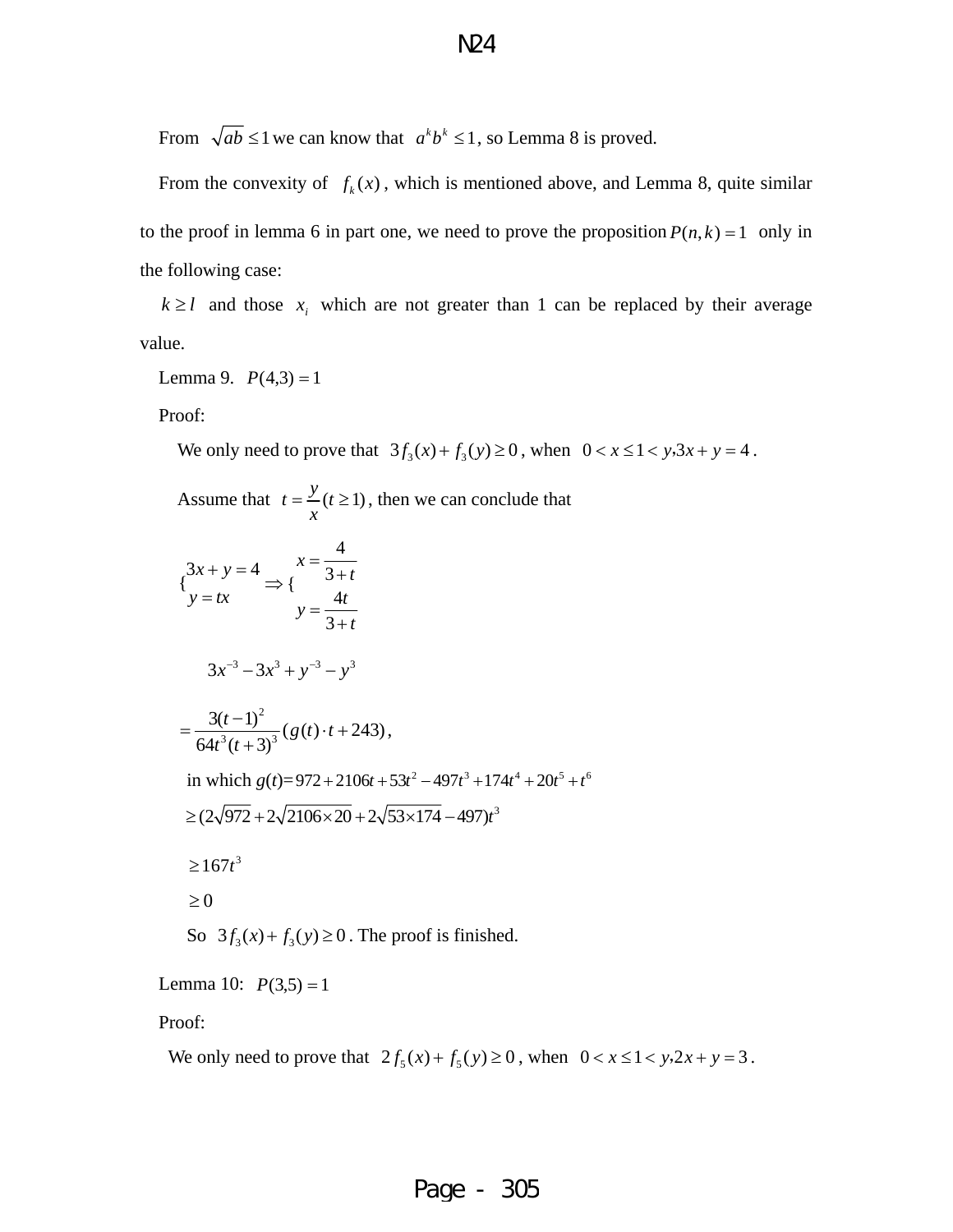From  $\sqrt{ab} \le 1$  we can know that  $a^k b^k \le 1$ , so Lemma 8 is proved.

From the convexity of  $f_k(x)$ , which is mentioned above, and Lemma 8, quite similar to the proof in lemma 6 in part one, we need to prove the proposition  $P(n, k) = 1$  only in the following case:

 $k \ge l$  and those  $x_i$  which are not greater than 1 can be replaced by their average value.

Lemma 9.  $P(4,3) = 1$ 

Proof:

We only need to prove that  $3f_3(x) + f_3(y) \ge 0$ , when  $0 < x \le 1 < y, 3x + y = 4$ .

Assume that 
$$
t = \frac{y}{x}(t \ge 1)
$$
, then we can conclude that  
\n
$$
\begin{cases}\n3x + y = 4 \\
y = tx\n\end{cases} \Rightarrow \begin{cases}\nx = \frac{4}{3+t} \\
y = \frac{4t}{3+t}\n\end{cases}
$$
\n
$$
3x^{-3} - 3x^{3} + y^{-3} - y^{3}
$$
\n
$$
= \frac{3(t-1)^{2}}{64t^{3}(t+3)^{3}} (g(t) \cdot t + 243),
$$
\nin which  $g(t) = 972 + 2106t + 53t^{2} - 497t^{3} + 174t^{4} + 20t^{5} + t^{6}$   
\n
$$
\ge (2\sqrt{972} + 2\sqrt{2106 \times 20} + 2\sqrt{53 \times 174} - 497)t^{3}
$$
\n
$$
\ge 167t^{3}
$$
\n
$$
\ge 0
$$
\nSo  $3f_{3}(x) + f_{3}(y) \ge 0$ . The proof is finished.

Lemma 10:  $P(3,5) = 1$ 

Proof:

We only need to prove that  $2 f_5 (x) + f_5 (y) \ge 0$ , when  $0 < x \le 1 < y, 2x + y = 3$ .

#### N24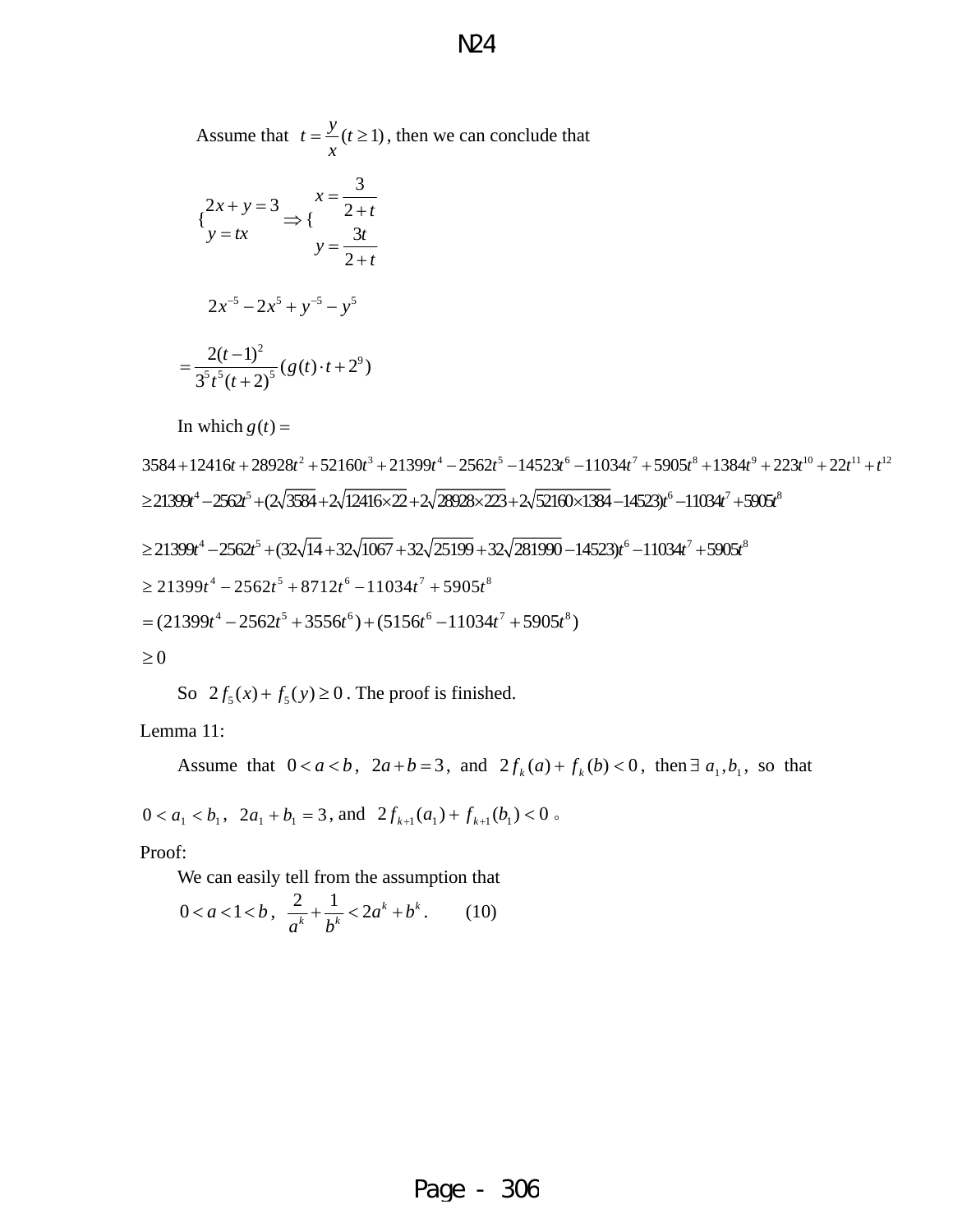Assume that  $t = \frac{y}{t} (t \ge 1)$ *x*  $=\frac{y}{x}$  ( $t \ge 1$ ), then we can conclude that

$$
\begin{aligned} \n\{2x + y = 3 \Rightarrow \{ \frac{x}{2+t} \} \\
y = tx &\qquad \qquad y = \frac{3t}{2+t} \\
2x^{-5} - 2x^5 + y^{-5} - y^5 \\
= \frac{2(t-1)^2}{3^5t^5(t+2)^5} (g(t) \cdot t + 2^9) \n\end{aligned}
$$

In which  $g(t) =$ 

 $3584 + 12416t + 28928t^2 + 52160t^3 + 21399t^4 - 2562t^5 - 14523t^6 - 11034t^7 + 5905t^8 + 1384t^9 + 223t^{10} + 22t^{11} + t^{12}$  $\geq$ 21399 $t^4$  -2562 $t^5$  + (2 $\sqrt{3584}$  + 2 $\sqrt{12416 \times 22}$  + 2 $\sqrt{28928 \times 223}$  + 2 $\sqrt{52160 \times 1384}$  -14523 $t^6$  -11034 $t^7$  + 5905 $t^8$  $\geq 21399t^4 - 2562t^5 + (32\sqrt{14} + 32\sqrt{1067} + 32\sqrt{25199} + 32\sqrt{281990} - 14523)t^6 - 11034t^7 + 5905t^8$  $\geq 21399t^4 - 2562t^5 + 8712t^6 - 11034t^7 + 5905t^8$  $=(21399t^4 - 2562t^5 + 3556t^6) + (5156t^6 - 11034t^7 + 5905t^8)$  $\geq 0$ 

So  $2f_s(x) + f_s(y) \ge 0$ . The proof is finished.

Lemma 11:

Assume that  $0 < a < b$ ,  $2a + b = 3$ , and  $2f_k(a) + f_k(b) < 0$ , then  $\exists a_1, b_1$ , so that  $0 < a_1 < b_1$ ,  $2a_1 + b_1 = 3$ , and  $2f_{k+1}(a_1) + f_{k+1}(b_1) < 0$ .

Proof:

We can easily tell from the assumption that

$$
0 < a < 1 < b \,, \quad \frac{2}{a^k} + \frac{1}{b^k} < 2a^k + b^k \,. \tag{10}
$$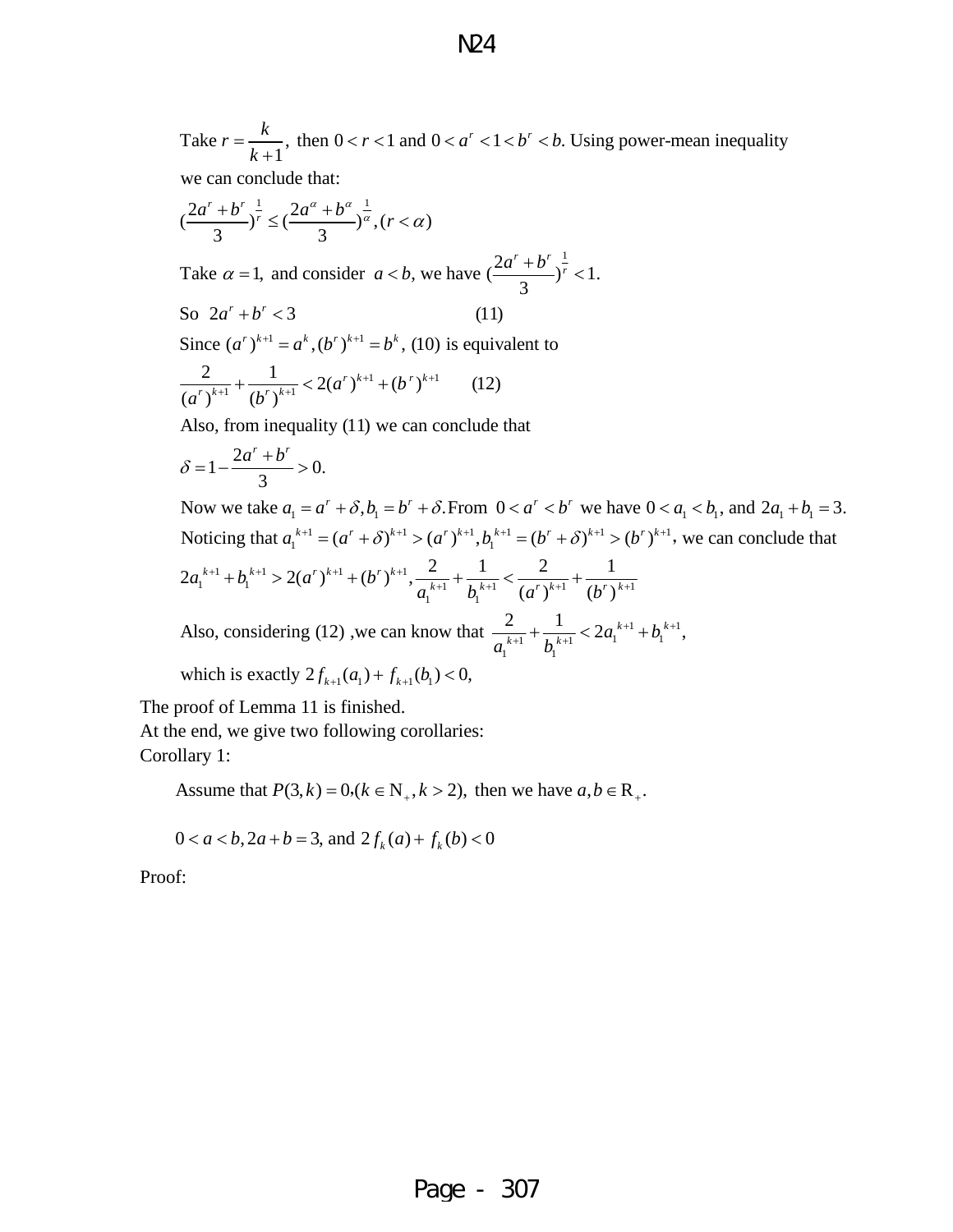Take  $r = \frac{k}{k+1}$ , then  $0 < r < 1$  and  $0 < a^r < 1 < b^r < b$ . Using power-mean inequality we can conclude that: *k*  $=\frac{R}{r-1}$ , then  $0 < r < 1$  and  $0 < a^r < 1 < b^r <$ +

$$
\left(\frac{2a^r + b^r}{3}\right)^{\frac{1}{r}} \le \left(\frac{2a^{\alpha} + b^{\alpha}}{3}\right)^{\frac{1}{\alpha}}, (r < \alpha)
$$
  
\nTake  $\alpha = 1$ , and consider  $a < b$ , we have  $\left(\frac{2a^r + b^r}{3}\right)^{\frac{1}{r}} < 1$ .  
\nSo  $2a^r + b^r < 3$  (11)  
\nSince  $(a^r)^{k+1} = a^k$ ,  $(b^r)^{k+1} = b^k$ , (10) is equivalent to  
\n $\frac{2}{(a^r)^{k+1}} + \frac{1}{(b^r)^{k+1}} < 2(a^r)^{k+1} + (b^r)^{k+1}$  (12)  
\nAlso, from inequality (11) we can conclude that

$$
\delta = 1 - \frac{2a^r + b^r}{3} > 0.
$$

Now we take  $a_1 = a^r + \delta$ ,  $b_1 = b^r + \delta$ . From  $0 < a^r < b^r$  we have  $0 < a_1 < b_1$ , and  $2a_1 + b_1 = 3$ .  $1 - (a^r + s)^{k+1} \sqrt{(a^r)^{k+1}} h^{k+1} - (b^r + s)^{k+1} \sqrt{(b^r)^{k+1}}$ Noticing that  $a_1^{k+1} = (a^r + \delta)^{k+1} > (a^r)^{k+1}, b_1^{k+1} = (b^r + \delta)^{k+1} > (b^r)^{k+1}$ , we can conclude that

$$
2a_1^{k+1} + b_1^{k+1} > 2(a^r)^{k+1} + (b^r)^{k+1}, \frac{2}{a_1^{k+1}} + \frac{1}{b_1^{k+1}} < \frac{2}{(a^r)^{k+1}} + \frac{1}{(b^r)^{k+1}}
$$

Also, considering (12), we can know that  $\frac{2}{a_{k+1}} + \frac{1}{a_{k+1}} < 2a_1^{k+1} + b_1^{k+1}$  $1 \frac{1}{h} k + 1 \leq 2u_1 \frac{1}{h} v_1$  $\mathcal{L}_1$   $\mathcal{L}_1$ (12), we can know that  $\frac{2}{a^{k+1}} + \frac{1}{b^{k+1}} < 2a_1^{k+1} + b_1^{k+1}$ ,  $\frac{2}{k+1} + \frac{1}{k+1} < 2a_1^{k+1} + b_2$  $a_1^{k+1}$  *b*  $+1$ ,  $\bf{L}$   $k+$  $+\frac{1}{k^{k+1}} < 2a_1^{k+1} +$ 

which is exactly  $2f_{k+1}(a_1) + f_{k+1}(b_1) < 0$ ,

The proof of Lemma 11 is finished. At the end, we give two following corollaries:

Corollary 1:

Assume that  $P(3, k) = 0, (k \in N_+, k > 2)$ , then we have  $a, b \in R_+$ .

$$
0 < a < b, 2a + b = 3, \text{ and } 2f_k(a) + f_k(b) < 0
$$

Proof: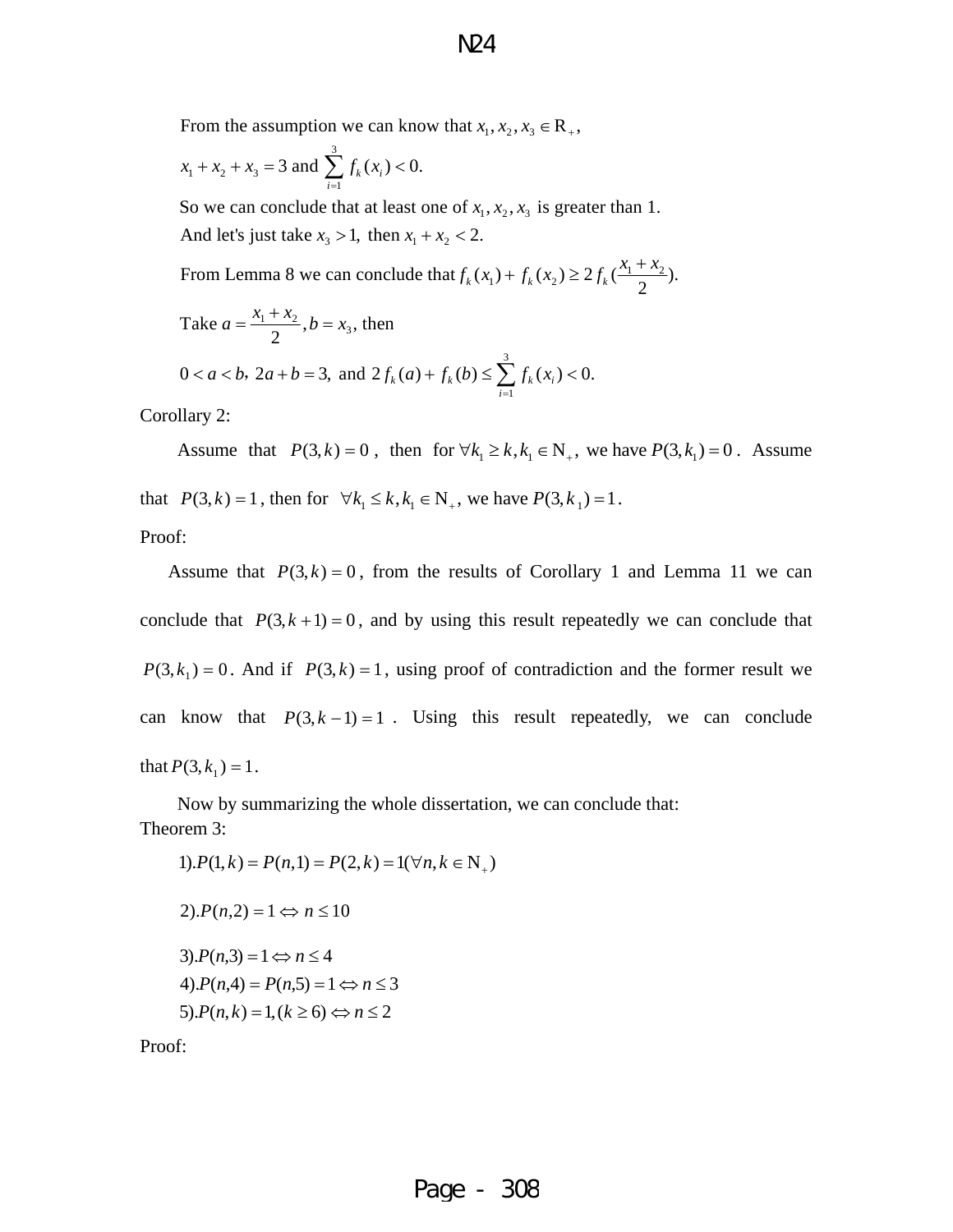From the assumption we can know that  $x_1, x_2, x_3 \in \mathbb{R}_+$ ,

$$
x_1 + x_2 + x_3 = 3
$$
 and  $\sum_{i=1}^{3} f_k(x_i) < 0$ .

So we can conclude that at least one of  $x_1, x_2, x_3$  is greater than 1. And let's just take  $x_3 > 1$ , then  $x_1 + x_2 < 2$ .

From Lemma 8 we can conclude that  $f_k(x_1) + f_k(x_2) \ge 2 f_k(\frac{x_1 + x_2}{2})$ .

Take 
$$
a = \frac{x_1 + x_2}{2}
$$
,  $b = x_3$ , then  
  $0 < a < b$ ,  $2a + b = 3$ , and  $2f_k(a) + f_k(b) \le \sum_{i=1}^{3} f_k(x_i) < 0$ .

Corollary 2:

Assume that  $P(3, k) = 0$ , then for  $\forall k_1 \ge k, k_1 \in \mathbb{N}_+$ , we have  $P(3, k_1) = 0$ . Assume that  $P(3, k) = 1$ , then for  $\forall k_1 \le k, k_1 \in \mathbb{N}_+$ , we have  $P(3, k_1) = 1$ .

Proof:

Assume that  $P(3, k) = 0$ , from the results of Corollary 1 and Lemma 11 we can conclude that  $P(3, k+1) = 0$ , and by using this result repeatedly we can conclude that  $P(3, k_1) = 0$ . And if  $P(3, k) = 1$ , using proof of contradiction and the former result we can know that  $P(3, k-1) = 1$ . Using this result repeatedly, we can conclude that  $P(3, k_1) = 1$ .

 Now by summarizing the whole dissertation, we can conclude that: Theorem 3:

 $1$ ).  $P(1, k) = P(n, 1) = P(2, k) = 1(\forall n, k \in N_+)$  $2) \cdot P(n,2) = 1 \Leftrightarrow n \leq 10$  $5$ ). $P(n,k) = 1, (k \ge 6) \Leftrightarrow n \le 2$  $4) \cdot P(n,4) = P(n,5) = 1 \Leftrightarrow n \leq 3$  $3$ ). $P(n,3) = 1 \Leftrightarrow n \leq 4$ 

Proof: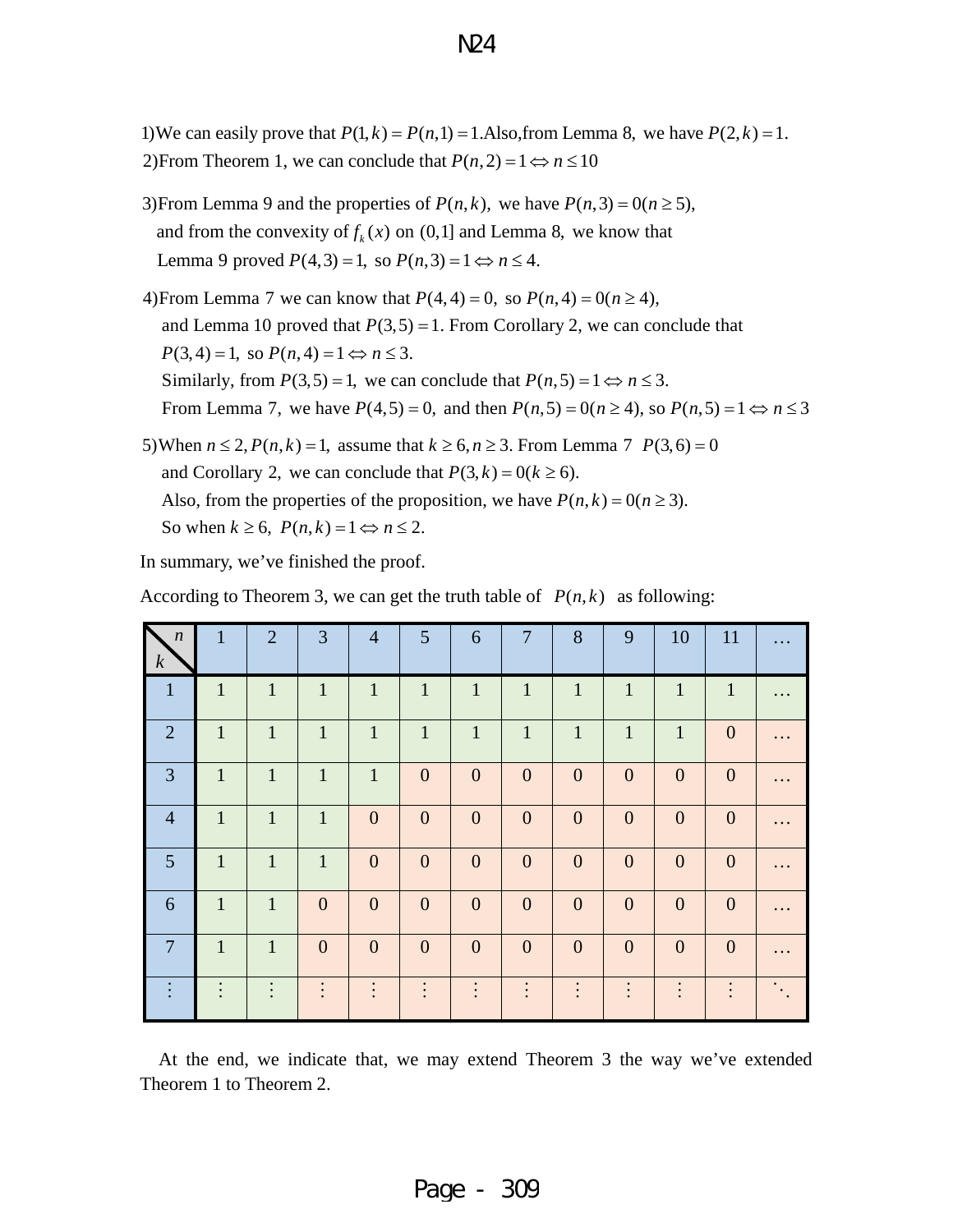1) We can easily prove that  $P(1, k) = P(n, 1) = 1$ . Also, from Lemma 8, we have  $P(2, k) = 1$ . 2) From Theorem 1, we can conclude that  $P(n, 2) = 1 \Leftrightarrow n \leq 10$ 

- 3) From Lemma 9 and the properties of  $P(n, k)$ , we have  $P(n, 3) = 0(n \ge 5)$ , and from the convexity of  $f_k(x)$  on  $(0,1]$  and Lemma 8, we know that Lemma 9 proved  $P(4,3) = 1$ , so  $P(n,3) = 1 \Leftrightarrow n \le 4$ .
- 4)From Lemma 7 we can know that  $P(4, 4) = 0$ , so  $P(n, 4) = 0(n \ge 4)$ , and Lemma 10 proved that  $P(3,5) = 1$ . From Corollary 2, we can conclude that  $P(3, 4) = 1$ , so  $P(n, 4) = 1 \Leftrightarrow n \leq 3$ . Similarly, from  $P(3,5) = 1$ , we can conclude that  $P(n,5) = 1 \Leftrightarrow n \leq 3$ . From Lemma 7, we have  $P(4,5) = 0$ , and then  $P(n,5) = 0(n \ge 4)$ , so  $P(n,5) = 1 \Leftrightarrow n \le 3$
- 5) When  $n \le 2$ ,  $P(n, k) = 1$ , assume that  $k \ge 6$ ,  $n \ge 3$ . From Lemma 7  $P(3, 6) = 0$ and Corollary 2, we can conclude that  $P(3, k) = 0(k \ge 6)$ . Also, from the properties of the proposition, we have  $P(n, k) = O(n \ge 3)$ . So when  $k \ge 6$ ,  $P(n, k) = 1 \Leftrightarrow n \le 2$ .

In summary, we've finished the proof.

According to Theorem 3, we can get the truth table of  $P(n, k)$  as following:

| $\boldsymbol{n}$<br>$\boldsymbol{k}$ | 1            | 2              | 3                | $\overline{4}$   | $5\overline{)}$  | 6                | 7                | 8              | 9              | 10               | 11               |                                                                       |
|--------------------------------------|--------------|----------------|------------------|------------------|------------------|------------------|------------------|----------------|----------------|------------------|------------------|-----------------------------------------------------------------------|
| $\mathbf{1}$                         | $\mathbf{1}$ | $\mathbf{1}$   | $\mathbf{1}$     | $\mathbf{1}$     | $\mathbf{1}$     | $\mathbf{1}$     | $\mathbf{1}$     | $\mathbf{1}$   | $\mathbf{1}$   | $\mathbf{1}$     | $\mathbf{1}$     |                                                                       |
| $\overline{2}$                       | $\mathbf{1}$ | $\mathbf{1}$   | $\mathbf{1}$     | $\mathbf{1}$     | $\mathbf{1}$     | $\mathbf{1}$     | $\mathbf{1}$     | $\mathbf{1}$   | $\mathbf{1}$   | $\mathbf{1}$     | $\mathbf{0}$     |                                                                       |
| 3                                    | $\mathbf{1}$ | $\mathbf{1}$   | $\mathbf{1}$     | $\mathbf{1}$     | $\boldsymbol{0}$ | $\boldsymbol{0}$ | $\boldsymbol{0}$ | $\overline{0}$ | $\overline{0}$ | $\boldsymbol{0}$ | $\theta$         |                                                                       |
| $\overline{4}$                       | $\mathbf{1}$ | $\mathbf{1}$   | $\mathbf{1}$     | $\boldsymbol{0}$ | $\boldsymbol{0}$ | $\boldsymbol{0}$ | $\boldsymbol{0}$ | $\overline{0}$ | $\mathbf{0}$   | $\overline{0}$   | $\theta$         | $\ddot{\phantom{0}}\cdot\phantom{0}\dot{\phantom{0}}\cdot\phantom{0}$ |
| 5                                    | $\mathbf{1}$ | $\mathbf{1}$   | $\mathbf{1}$     | $\boldsymbol{0}$ | $\boldsymbol{0}$ | $\boldsymbol{0}$ | $\boldsymbol{0}$ | $\mathbf{0}$   | $\mathbf{0}$   | $\overline{0}$   | $\boldsymbol{0}$ |                                                                       |
| 6                                    | $\mathbf{1}$ | $\mathbf{1}$   | $\boldsymbol{0}$ | $\boldsymbol{0}$ | $\boldsymbol{0}$ | $\boldsymbol{0}$ | $\boldsymbol{0}$ | $\overline{0}$ | $\mathbf{0}$   | $\overline{0}$   | $\theta$         |                                                                       |
| $\overline{7}$                       | $\mathbf{1}$ | $\mathbf{1}$   | $\overline{0}$   | $\mathbf{0}$     | $\overline{0}$   | $\overline{0}$   | $\overline{0}$   | $\overline{0}$ | $\mathbf{0}$   | $\overline{0}$   | $\theta$         |                                                                       |
|                                      | $\bullet$    | $\ddot{\cdot}$ | $\bullet$        | $\bullet$        | $\ddot{\cdot}$   | $\vdots$         | $\ddot{\cdot}$   | $\vdots$       | $\vdots$       | $\ddot{\cdot}$   |                  |                                                                       |

At the end, we indicate that, we may extend Theorem 3 the way we've extended Theorem 1 to Theorem 2.